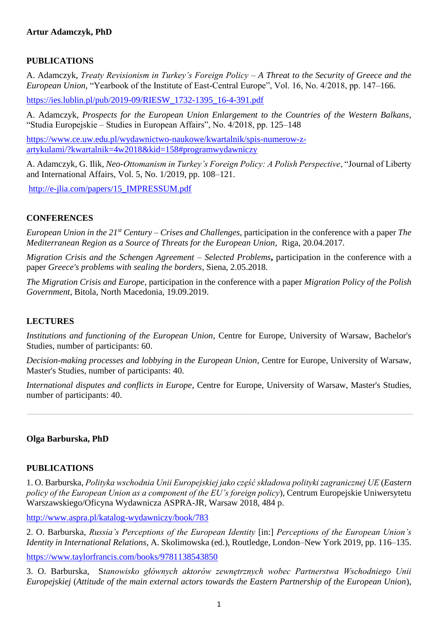## **PUBLICATIONS**

A. Adamczyk, *Treaty Revisionism in Turkey's Foreign Policy – A Threat to the Security of Greece and the European Union,* "Yearbook of the Institute of East-Central Europe", Vol. 16, No. 4/2018, pp. 147–166.

[https://ies.lublin.pl/pub/2019-09/RIESW\\_1732-1395\\_16-4-391.pdf](https://ies.lublin.pl/pub/2019-09/RIESW_1732-1395_16-4-391.pdf)

A. Adamczyk, *Prospects for the European Union Enlargement to the Countries of the Western Balkans*, "Studia Europejskie – Studies in European Affairs", No. 4/2018, pp. 125–148

[https://www.ce.uw.edu.pl/wydawnictwo-naukowe/kwartalnik/spis-numerow-z](https://www.ce.uw.edu.pl/wydawnictwo-naukowe/kwartalnik/spis-numerow-z-artykulami/?kwartalnik=4w2018&kid=158#programwydawniczy)[artykulami/?kwartalnik=4w2018&kid=158#programwydawniczy](https://www.ce.uw.edu.pl/wydawnictwo-naukowe/kwartalnik/spis-numerow-z-artykulami/?kwartalnik=4w2018&kid=158#programwydawniczy)

A. Adamczyk, G. Ilik, *Neo-Ottomanism in Turkey's Foreign Policy: A Polish Perspective*, "Journal of Liberty and International Affairs, Vol. 5, No. 1/2019, pp. 108–121.

[http://e-jlia.com/papers/15\\_IMPRESSUM.pdf](http://e-jlia.com/papers/15_IMPRESSUM.pdf)

## **CONFERENCES**

*European Union in the 21st Century – Crises and Challenges*, participation in the conference with a paper *The Mediterranean Region as a Source of Threats for the European Union*, Riga, 20.04.2017.

*Migration Crisis and the Schengen Agreement – Selected Problems***,** participation in the conference with a paper *Greece's problems with sealing the borders*, Siena, 2.05.2018.

*The Migration Crisis and Europe*, participation in the conference with a paper *Migration Policy of the Polish Government*, Bitola, North Macedonia, 19.09.2019.

## **LECTURES**

*Institutions and functioning of the European Union*, Centre for Europe, University of Warsaw, Bachelor's Studies, number of participants: 60.

*Decision-making processes and lobbying in the European Union*, Centre for Europe, University of Warsaw, Master's Studies, number of participants: 40.

*International disputes and conflicts in Europe*, Centre for Europe, University of Warsaw, Master's Studies, number of participants: 40.

## **Olga Barburska, PhD**

## **PUBLICATIONS**

1. O. Barburska, *Polityka wschodnia Unii Europejskiej jako część składowa polityki zagranicznej UE* (*Eastern policy of the European Union as a component of the EU's foreign policy*), Centrum Europejskie Uniwersytetu Warszawskiego/Oficyna Wydawnicza ASPRA-JR, Warsaw 2018, 484 p.

<http://www.aspra.pl/katalog-wydawniczy/book/783>

2. O. Barburska, *Russia's Perceptions of the European Identity* [in:] *Perceptions of the European Union's Identity in International Relations*, A. Skolimowska (ed.), Routledge, London–New York 2019, pp. 116–135.

<https://www.taylorfrancis.com/books/9781138543850>

3. O. Barburska, S*tanowisko głównych aktorów zewnętrznych wobec Partnerstwa Wschodniego Unii Europejskiej* (*Attitude of the main external actors towards the Eastern Partnership of the European Union*),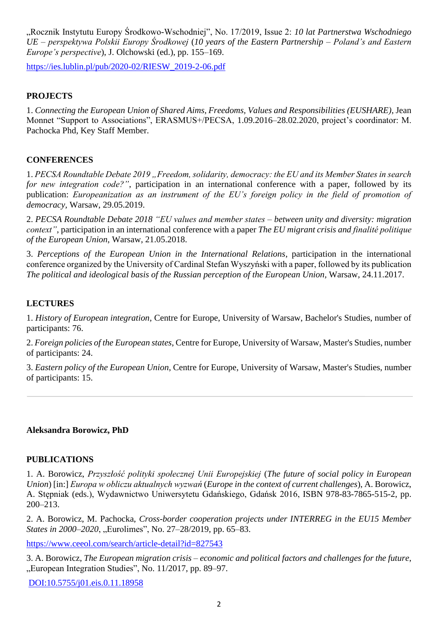"Rocznik Instytutu Europy Środkowo-Wschodniej", No. 17/2019, Issue 2: *10 lat Partnerstwa Wschodniego UE – perspektywa Polskii Europy Środkowej* (*10 years of the Eastern Partnership – Poland's and Eastern Europe's perspective*), J. Olchowski (ed.), pp. 155–169.

[https://ies.lublin.pl/pub/2020-02/RIESW\\_2019-2-06.pdf](https://ies.lublin.pl/pub/2020-02/RIESW_2019-2-06.pdf)

## **PROJECTS**

1. *Connecting the European Union of Shared Aims, Freedoms, Values and Responsibilities (EUSHARE)*, Jean Monnet "Support to Associations", ERASMUS+/PECSA, 1.09.2016–28.02.2020, project's coordinator: M. Pachocka Phd, Key Staff Member.

## **CONFERENCES**

1. *PECSA Roundtable Debate 2019 "Freedom, solidarity, democracy: the EU and its Member States in search for new integration code?"*, participation in an international conference with a paper, followed by its publication: *Europeanization as an instrument of the EU's foreign policy in the field of promotion of democracy,* Warsaw, 29.05.2019.

2. *PECSA Roundtable Debate 2018 "EU values and member states – between unity and diversity: migration context"*, participation in an international conference with a paper *The EU migrant crisis and finalité politique of the European Union*, Warsaw, 21.05.2018.

3. *Perceptions of the European Union in the International Relations*, participation in the international conference organized by the University of Cardinal Stefan Wyszyński with a paper, followed by its publication *The political and ideological basis of the Russian perception of the European Union,* Warsaw, 24.11.2017.

## **LECTURES**

1. *History of European integration*, Centre for Europe, University of Warsaw, Bachelor's Studies, number of participants: 76.

2. *Foreign policies of the European states*, Centre for Europe, University of Warsaw, Master's Studies, number of participants: 24.

3. *Eastern policy of the European Union*, Centre for Europe, University of Warsaw, Master's Studies, number of participants: 15.

## **Aleksandra Borowicz, PhD**

## **PUBLICATIONS**

1. A. Borowicz, *Przyszłość polityki społecznej Unii Europejskiej* (*The future of social policy in European Union*) [in:] *Europa w obliczu aktualnych wyzwań* (*Europe in the context of current challenges*), A. Borowicz, A. Stępniak (eds.), Wydawnictwo Uniwersytetu Gdańskiego, Gdańsk 2016, ISBN 978-83-7865-515-2, pp. 200–213.

2. A. Borowicz, M. Pachocka, *Cross-border cooperation projects under INTERREG in the EU15 Member States in 2000–2020*, "Eurolimes", No. 27–28/2019, pp. 65–83.

<https://www.ceeol.com/search/article-detail?id=827543>

3. A. Borowicz, *The European migration crisis* – *economic and political factors and challenges for the future*, "European Integration Studies", No. 11/2017, pp. 89–97.

[DOI:10.5755/j01.eis.0.11.18958](http://dx.doi.org/10.5755/j01.eis.0.11.18958)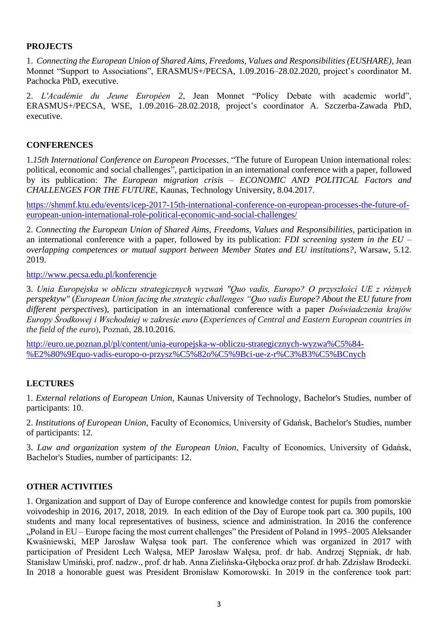### **PROJECTS**

1. *Connecting the European Union of Shared Aims, Freedoms, Values and Responsibilities (EUSHARE)*, Jean Monnet "Support to Associations", ERASMUS+/PECSA, 1.09.2016–28.02.2020, project's coordinator M. Pachocka PhD, executive.

2. *L'Académie du Jeune Européen 2*, Jean Monnet "Policy Debate with academic world", ERASMUS+/PECSA, WSE, 1.09.2016–28.02.2018, project's coordinator A. Szczerba-Zawada PhD, executive.

#### **CONFERENCES**

1.*15th International Conference on European Processes*, "The future of European Union international roles: political, economic and social challenges", participation in an international conference with a paper, followed by its publication: *The European migration crisis – ECONOMIC AND POLITICAL Factors and CHALLENGES FOR THE FUTURE,* Kaunas, Technology University, 8.04.2017.

[https://shmmf.ktu.edu/events/icep-2017-15th-international-conference-on-european-processes-the-future-of](https://shmmf.ktu.edu/events/icep-2017-15th-international-conference-on-european-processes-the-future-of-european-union-international-role-political-economic-and-social-challenges/)[european-union-international-role-political-economic-and-social-challenges/](https://shmmf.ktu.edu/events/icep-2017-15th-international-conference-on-european-processes-the-future-of-european-union-international-role-political-economic-and-social-challenges/)

2. *Connecting the European Union of Shared Aims, Freedoms, Values and Responsibilities*, participation in an international conference with a paper, followed by its publication: *FDI screening system in the EU – overlapping competences or mutual support between Member States and EU institutions?*, Warsaw, 5.12. 2019.

<http://www.pecsa.edu.pl/konferencje>

3. *Unia Europejska w obliczu strategicznych wyzwań "Quo vadis, Europo? O przyszłości UE z różnych perspektyw"* (*European Union facing the strategic challenges "Quo vadis Europe? About the EU future from different perspectives*), participation in an international conference with a paper *Doświadczenia krajów Europy Środkowej i Wschodniej w zakresie euro* (*Experiences of Central and Eastern European countries in the field of the euro*), Poznań, 28.10.2016.

[http://euro.ue.poznan.pl/pl/content/unia-europejska-w-obliczu-strategicznych-wyzwa%C5%84-](http://euro.ue.poznan.pl/pl/content/unia-europejska-w-obliczu-strategicznych-wyzwa%C5%84-%E2%80%9Equo-vadis-europo-o-przysz%C5%82o%C5%9Bci-ue-z-r%C3%B3%C5%BCnych) [%E2%80%9Equo-vadis-europo-o-przysz%C5%82o%C5%9Bci-ue-z-r%C3%B3%C5%BCnych](http://euro.ue.poznan.pl/pl/content/unia-europejska-w-obliczu-strategicznych-wyzwa%C5%84-%E2%80%9Equo-vadis-europo-o-przysz%C5%82o%C5%9Bci-ue-z-r%C3%B3%C5%BCnych)

## **LECTURES**

1. *External relations of European Union*, Kaunas University of Technology, Bachelor's Studies, number of participants: 10.

2. *Institutions of European Union*, Faculty of Economics, University of Gdańsk, Bachelor's Studies, number of participants: 12.

3. *Law and organization system of the European Union*, Faculty of Economics, University of Gdańsk, Bachelor's Studies, number of participants: 12.

#### **OTHER ACTIVITIES**

1. Organization and support of Day of Europe conference and knowledge contest for pupils from pomorskie voivodeship in 2016, 2017, 2018, 2019. In each edition of the Day of Europe took part ca. 300 pupils, 100 students and many local representatives of business, science and administration. In 2016 the conference "Poland in EU – Europe facing the most current challenges" the President of Poland in 1995–2005 Aleksander Kwaśniewski, MEP Jarosław Wałęsa took part. The conference which was organized in 2017 with participation of President Lech Wałęsa, MEP Jarosław Wałęsa, prof. dr hab. Andrzej Stępniak, dr hab. Stanisław Umiński, prof. nadzw., prof. dr hab. Anna Zielińska-Głębocka oraz prof. dr hab. Zdzisław Brodecki. In 2018 a honorable guest was President Bronisław Komorowski. In 2019 in the conference took part: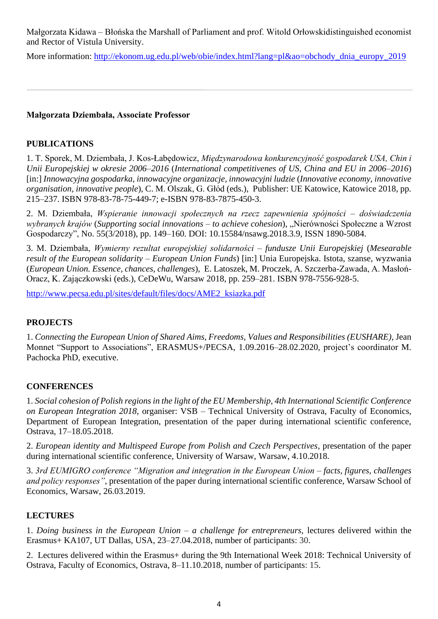Małgorzata Kidawa – Błońska the Marshall of Parliament and prof. Witold Orłowskidistinguished economist and Rector of Vistula University.

More information: [http://ekonom.ug.edu.pl/web/obie/index.html?lang=pl&ao=obchody\\_dnia\\_europy\\_2019](http://ekonom.ug.edu.pl/web/obie/index.html?lang=pl&ao=obchody_dnia_europy_2019)

# **Małgorzata Dziembała, Associate Professor**

# **PUBLICATIONS**

1. T. Sporek, M. Dziembała, J. Kos-Łabędowicz, *Międzynarodowa konkurencyjność gospodarek USA, Chin i Unii Europejskiej w okresie 2006*–*2016* (*International competitivenes of US, China and EU in 2006–2016*) [in:] *Innowacyjna gospodarka, innowacyjne organizacje, innowacyjni ludzie* (*Innovative economy, innovative organisation, innovative people*), C. M. Olszak, G. Głód (eds.), Publisher: UE Katowice, Katowice 2018, pp. 215–237. ISBN 978-83-78-75-449-7; e-ISBN 978-83-7875-450-3.

2. M. Dziembała, *Wspieranie innowacji społecznych na rzecz zapewnienia spójności – doświadczenia wybranych krajów* (*Supporting social innovations – to achieve cohesion*), "Nierówności Społeczne a Wzrost Gospodarczy", No. 55(3/2018), pp. 149–160. DOI: 10.15584/nsawg.2018.3.9, ISSN 1890-5084.

3. M. Dziembała, *Wymierny rezultat europejskiej solidarności – fundusze Unii Europejskiej* (*Mesearable result of the European solidarity – European Union Funds*) [in:] Unia Europejska. Istota, szanse, wyzwania (*European Union. Essence, chances, challenges*), E. Latoszek, M. Proczek, A. Szczerba-Zawada, A. Masłoń-Oracz, K. Zajączkowski (eds.), CeDeWu, Warsaw 2018, pp. 259–281. ISBN 978-7556-928-5.

[http://www.pecsa.edu.pl/sites/default/files/docs/AME2\\_ksiazka.pdf](http://www.pecsa.edu.pl/sites/default/files/docs/AME2_ksiazka.pdf)

# **PROJECTS**

1. *Connecting the European Union of Shared Aims, Freedoms, Values and Responsibilities (EUSHARE)*, Jean Monnet "Support to Associations", ERASMUS+/PECSA, 1.09.2016–28.02.2020, project's coordinator M. Pachocka PhD, executive.

# **CONFERENCES**

1. *Social cohesion of Polish regions in the light of the EU Membership, 4th International Scientific Conference on European Integration 2018*, organiser: VSB – Technical University of Ostrava, Faculty of Economics, Department of European Integration, presentation of the paper during international scientific conference, Ostrava, 17–18.05.2018.

2. *European identity and Multispeed Europe from Polish and Czech Perspectives*, presentation of the paper during international scientific conference, University of Warsaw, Warsaw, 4.10.2018.

3. *3rd EUMIGRO conference "Migration and integration in the European Union – facts, figures, challenges and policy responses",* presentation of the paper during international scientific conference, Warsaw School of Economics, Warsaw, 26.03.2019.

# **LECTURES**

1. *Doing business in the European Union – a challenge for entrepreneurs,* lectures delivered within the Erasmus+ KA107, UT Dallas, USA, 23*–*27.04.2018, number of participants: 30.

2. Lectures delivered within the Erasmus+ during the 9th International Week 2018: Technical University of Ostrava, Faculty of Economics, Ostrava, 8*–*11.10.2018, number of participants: 15.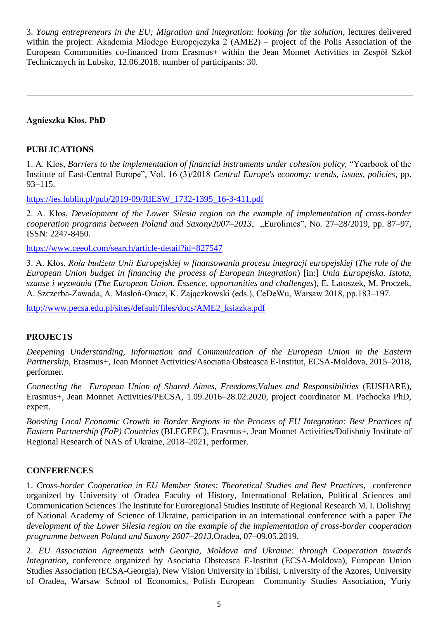3. *Young entrepreneurs in the EU; Migration and integration: looking for the solution*, lectures delivered within the project: Akademia Młodego Europejczyka 2 (AME2) – project of the Polis Association of the European Communities co-financed from Erasmus+ within the Jean Monnet Activities in Zespół Szkół Technicznych in Lubsko, 12.06.2018, number of participants: 30.

## **Agnieszka Kłos, PhD**

#### **PUBLICATIONS**

1. A. Kłos, *Barriers to the implementation of financial instruments under cohesion policy,* "Yearbook of the Institute of East-Central Europe", Vol. 16 (3)/2018 *Central Europe's economy: trends, issues, policies*, pp. 93–115.

[https://ies.lublin.pl/pub/2019-09/RIESW\\_1732-1395\\_16-3-411.pdf](https://ies.lublin.pl/pub/2019-09/RIESW_1732-1395_16-3-411.pdf)

2. A. Kłos, *Development of the Lower Silesia region on the example of implementation of cross-border cooperation programs between Poland and Saxony2007*–*2013*, "Eurolimes", No. 27–28/2019, pp. 87–97, ISSN: 2247-8450.

<https://www.ceeol.com/search/article-detail?id=827547>

3. A. Kłos, *Rola budżetu Unii Europejskiej w finansowaniu procesu integracji europejskiej* (*The role of the European Union budget in financing the process of European integration*) [in:] *Unia Europejska. Istota, szanse i wyzwania* (*The European Union. Essence, opportunities and challenges*), E. Latoszek, M. Proczek, A. Szczerba-Zawada, A. Masłoń-Oracz, K. Zajączkowski (eds.), CeDeWu, Warsaw 2018, pp.183–197.

[http://www.pecsa.edu.pl/sites/default/files/docs/AME2\\_ksiazka.pdf](http://www.pecsa.edu.pl/sites/default/files/docs/AME2_ksiazka.pdf)

## **PROJECTS**

*Deepening Understanding, Information and Communication of the European Union in the Eastern Partnership*, Erasmus+, Jean Monnet Activities/Asociatia Obsteasca E-Institut, ECSA-Moldova, 2015–2018, performer.

*Connecting the European Union of Shared Aimes, Freedoms,Values and Responsibilities* (EUSHARE), Erasmus+, Jean Monnet Activities/PECSA, 1.09.2016–28.02.2020, project coordinator M. Pachocka PhD, expert.

*Boosting Local Economic Growth in Border Regions in the Process of EU Integration: Best Practices of Eastern Partnership (EaP) Countries* (BLEGEEC), Erasmus+, Jean Monnet Activities/Dolishniy Institute of Regional Research of NAS of Ukraine, 2018–2021, performer.

#### **CONFERENCES**

1. *Cross-border Cooperation in EU Member States: Theoretical Studies and Best Practices*, conference organized by University of Oradea Faculty of History, International Relation, Political Sciences and Communication Sciences The Institute for Euroregional Studies Institute of Regional Research M. I. Dolishnyj of National Academy of Science of Ukraine, participation in an international conference with a paper *The development of the Lower Silesia region on the example of the implementation of cross-border cooperation programme between Poland and Saxony 2007*–*2013,*Oradea, 07–09.05.2019.

2. *EU Association Agreements with Georgia, Moldova and Ukraine: through Cooperation towards Integration*, conference organized by Asociatia Obsteasca E-Institut (ECSA-Moldova), European Union Studies Association (ECSA-Georgia), New Vision University in Tbilisi, University of the Azores, University of Oradea, Warsaw School of Economics, Polish European Community Studies Association, Yuriy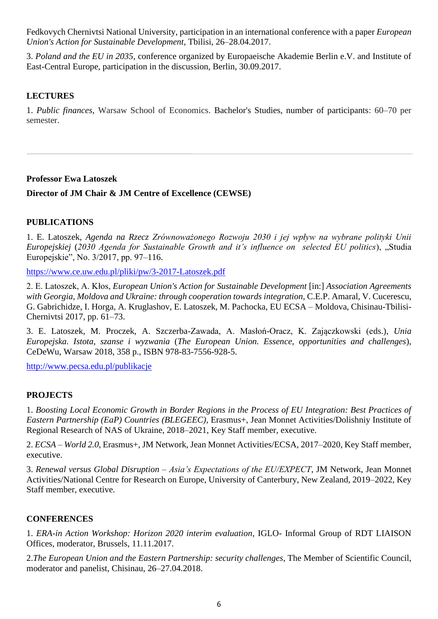Fedkovych Chernivtsi National University, participation in an international conference with a paper *European Union's Action for Sustainable Development*, Tbilisi, 26–28.04.2017.

3. *Poland and the EU in 2035*, conference organized by Europaeische Akademie Berlin e.V. and Institute of East-Central Europe, participation in the discussion, Berlin, 30.09.2017.

# **LECTURES**

1. *Public finances*, Warsaw School of Economics. Bachelor's Studies, number of participants: 60–70 per semester.

## **Professor Ewa Latoszek**

**Director of JM Chair & JM Centre of Excellence (CEWSE)**

# **PUBLICATIONS**

1. E. Latoszek, *Agenda na Rzecz Zrównoważonego Rozwoju 2030 i jej wpływ na wybrane polityki Unii Europejskiej* (*2030 Agenda for Sustainable Growth and it's influence on selected EU politics*), "Studia Europejskie", No. 3/2017, pp. 97–116.

<https://www.ce.uw.edu.pl/pliki/pw/3-2017-Latoszek.pdf>

2. E. Latoszek, A. Kłos, *European Union's Action for Sustainable Development* [in:] *Association Agreements with Georgia, Moldova and Ukraine: through cooperation towards integration*, C.E.P. Amaral, V. Cucerescu, G. Gabrichidze, I. Horga, A. Kruglashov, E. Latoszek, M. Pachocka, EU ECSA – Moldova, Chisinau-Tbilisi-Chernivtsi 2017, pp. 61–73.

3. E. Latoszek, M. Proczek, A. Szczerba-Zawada, A. Masłoń-Oracz, K. Zajączkowski (eds.), *Unia Europejska. Istota, szanse i wyzwania* (*The European Union. Essence, opportunities and challenges*), CeDeWu, Warsaw 2018, 358 p., ISBN 978-83-7556-928-5.

<http://www.pecsa.edu.pl/publikacje>

# **PROJECTS**

1. *Boosting Local Economic Growth in Border Regions in the Process of EU Integration: Best Practices of Eastern Partnership (EaP) Countries (BLEGEEC)*, Erasmus+, Jean Monnet Activities/Dolishniy Institute of Regional Research of NAS of Ukraine, 2018–2021, Key Staff member, executive.

2. *ECSA* – *World 2.0*, Erasmus+, JM Network, Jean Monnet Activities/ECSA, 2017–2020, Key Staff member, executive.

3. *Renewal versus Global Disruption – Asia's Expectations of the EU/EXPECT*, JM Network, Jean Monnet Activities/National Centre for Research on Europe, University of Canterbury, New Zealand, 2019–2022, Key Staff member, executive.

# **CONFERENCES**

1. *ERA-in Action Workshop: Horizon 2020 interim evaluation*, IGLO- Informal Group of RDT LIAISON Offices, moderator, Brussels, 11.11.2017.

2.*The European Union and the Eastern Partnership: security challenges*, The Member of Scientific Council, moderator and panelist, Chisinau, 26–27.04.2018.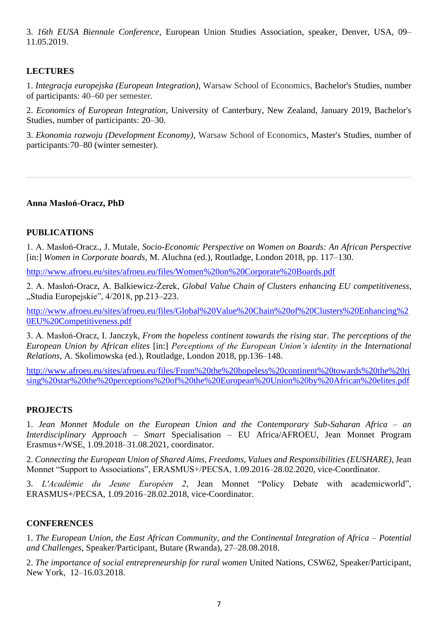3. *16th EUSA Biennale Conference*, European Union Studies Association, speaker, Denver, USA, 09– 11.05.2019.

# **LECTURES**

1. *Integracja europejska (European Integration)*, Warsaw School of Economics, Bachelor's Studies, number of participants: 40–60 per semester.

2. *Economics of European Integration*, University of Canterbury, New Zealand, January 2019, Bachelor's Studies, number of participants: 20–30.

3. *Ekonomia rozwoju (Development Economy),* Warsaw School of Economics, Master's Studies, number of participants:70–80 (winter semester).

## **Anna Masłoń-Oracz, PhD**

## **PUBLICATIONS**

1. A. Masłoń-Oracz., J. Mutale, *Socio-Economic Perspective on Women on Boards: An African Perspective*  [in:] *[Women in Corporate boards](https://www.academia.edu/37568134/_Unia_Europejska_istota_szanse_wyzwania_red._E._Latoszek_M._Proczek_A._Szczerba-Zawada_A._Mas%C5%82o%C5%84-Oracz_K._Zaj%C4%85czkowski)*, M. Aluchna (ed.), Routladge, London 2018, pp. 117–130.

<http://www.afroeu.eu/sites/afroeu.eu/files/Women%20on%20Corporate%20Boards.pdf>

2. A. Masłoń-Oracz, A. Balkiewicz-Żerek, *Global Value Chain of Clusters enhancing EU competitiveness*, "Studia Europejskie", 4/2018, pp.213–223.

[http://www.afroeu.eu/sites/afroeu.eu/files/Global%20Value%20Chain%20of%20Clusters%20Enhancing%2](http://www.afroeu.eu/sites/afroeu.eu/files/Global%20Value%20Chain%20of%20Clusters%20Enhancing%20EU%20Competitiveness.pdf) [0EU%20Competitiveness.pdf](http://www.afroeu.eu/sites/afroeu.eu/files/Global%20Value%20Chain%20of%20Clusters%20Enhancing%20EU%20Competitiveness.pdf)

3. A. Masłoń-Oracz, I. Janczyk, *From the hopeless continent towards the rising star. The perceptions of the European Union by African elites* [in:] *Perceptions of the European Union's identity in the International Relations*, A. Skolimowska (ed.), Routladge, London 2018, pp.136–148.

[http://www.afroeu.eu/sites/afroeu.eu/files/From%20the%20hopeless%20continent%20towards%20the%20ri](http://www.afroeu.eu/sites/afroeu.eu/files/From%20the%20hopeless%20continent%20towards%20the%20rising%20star%20the%20perceptions%20of%20the%20European%20Union%20by%20African%20elites.pdf) [sing%20star%20the%20perceptions%20of%20the%20European%20Union%20by%20African%20elites.pdf](http://www.afroeu.eu/sites/afroeu.eu/files/From%20the%20hopeless%20continent%20towards%20the%20rising%20star%20the%20perceptions%20of%20the%20European%20Union%20by%20African%20elites.pdf)

## **PROJECTS**

1. *Jean Monnet Module on the European Union and the Contemporary Sub-Saharan Africa – an Interdisciplinary Approach – Smart* Specialisation – EU Africa/AFROEU, Jean Monnet Program Erasmus+/WSE, 1.09.2018–31.08.2021, coordinator.

2. *Connecting the European Union of Shared Aims, Freedoms, Values and Responsibilities (EUSHARE)*, Jean Monnet "Support to Associations", ERASMUS+/PECSA, 1.09.2016–28.02.2020, vice-Coordinator.

3. *L'Académie du Jeune Européen 2*, Jean Monnet "Policy Debate with academicworld", ERASMUS+/PECSA, 1.09.2016–28.02.2018, vice-Coordinator.

## **CONFERENCES**

1. *The European Union, the East African Community, and the Continental Integration of Africa – Potential and Challenges*, Speaker/Participant, Butare (Rwanda), 27*–*28.08.2018.

2. *The importance of social entrepreneurship for rural women* United Nations, CSW62, Speaker/Participant, New York, 12*–*16.03.2018.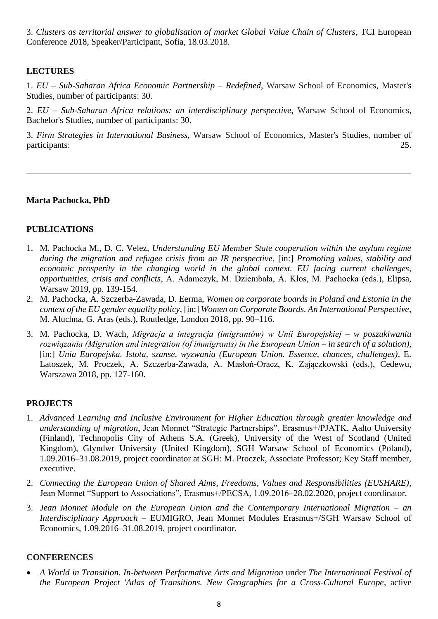3. *Clusters as territorial answer to globalisation of market Global Value Chain of Clusters*, TCI European Conference 2018, Speaker/Participant, Sofia, 18.03.2018.

# **LECTURES**

1. *EU* – *Sub-Saharan Africa Economic Partnership* – *Redefined*, Warsaw School of Economics, Master's Studies, number of participants: 30.

2. *EU* – *Sub-Saharan Africa relations: an interdisciplinary perspective*, Warsaw School of Economics, Bachelor's Studies, number of participants: 30.

3. *Firm Strategies in International Business*, Warsaw School of Economics, Master's Studies, number of participants: 25.

**Marta Pachocka, PhD**

## **PUBLICATIONS**

- 1. M. Pachocka M., D. C. Velez, *Understanding EU Member State cooperation within the asylum regime during the migration and refugee crisis from an IR perspective*, [in:] *Promoting values, stability and economic prosperity in the changing world in the global context. EU facing current challenges, opportunities, crisis and conflicts*, A. Adamczyk, M. Dziembała, A. Kłos, M. Pachocka (eds.), Elipsa, Warsaw 2019, pp. 139-154.
- 2. M. Pachocka, A. Szczerba-Zawada, D. Eerma, *Women on corporate boards in Poland and Estonia in the context of the EU gender equality policy*, [in:] *Women on Corporate Boards. An International Perspective*, M. Aluchna, G. Aras (eds.), Routledge, London 2018, pp. 90–116.
- 3. M. Pachocka, D. Wach, *Migracja a integracja (imigrantów) w Unii Europejskiej – w poszukiwaniu rozwiązania (Migration and integration (of immigrants) in the European Union – in search of a solution)*, [in:] *Unia Europejska. Istota, szanse, wyzwania (European Union. Essence, chances, challenges)*, E. Latoszek, M. Proczek, A. Szczerba-Zawada, A. Masłoń-Oracz, K. Zajączkowski (eds.), Cedewu, Warszawa 2018, pp. 127-160.

## **PROJECTS**

- 1. *Advanced Learning and Inclusive Environment for Higher Education through greater knowledge and understanding of migration*, Jean Monnet "Strategic Partnerships", Erasmus+/PJATK, Aalto University (Finland), Technopolis City of Athens S.A. (Greek), University of the West of Scotland (United Kingdom), Glyndwr University (United Kingdom), SGH Warsaw School of Economics (Poland), 1.09.2016–31.08.2019, project coordinator at SGH: M. Proczek, Associate Professor; Key Staff member, executive.
- 2. *Connecting the European Union of Shared Aims, Freedoms, Values and Responsibilities (EUSHARE)*, Jean Monnet "Support to Associations", Erasmus+/PECSA, 1.09.2016–28.02.2020, project coordinator.
- 3. *Jean Monnet Module on the European Union and the Contemporary International Migration – an Interdisciplinary Approach* – EUMIGRO, Jean Monnet Modules Erasmus+/SGH Warsaw School of Economics, 1.09.2016–31.08.2019, project coordinator.

#### **CONFERENCES**

• A World in Transition. In-between Performative Arts and Migration under The International Festival of *the European Project 'Atlas of Transitions. New Geographies for a Cross-Cultural Europe*, active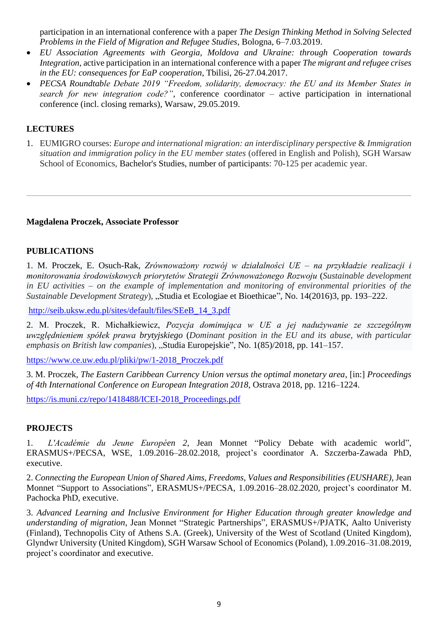participation in an international conference with a paper *The Design Thinking Method in Solving Selected Problems in the Field of Migration and Refugee Studies*, Bologna, 6–7.03.2019.

- *EU Association Agreements with Georgia, Moldova and Ukraine: through Cooperation towards Integration,* active participation in an international conference with a paper *The migrant and refugee crises in the EU: consequences for EaP cooperation*, Tbilisi, 26-27.04.2017.
- *PECSA Roundtable Debate 2019 "Freedom, solidarity, democracy: the EU and its Member States in search for new integration code?"*, conference coordinator – active participation in international conference (incl. closing remarks), Warsaw, 29.05.2019.

## **LECTURES**

1. EUMIGRO courses: *Europe and international migration: an interdisciplinary perspective* & *Immigration situation and immigration policy in the EU member states* (offered in English and Polish), SGH Warsaw School of Economics, Bachelor's Studies, number of participants: 70-125 per academic year.

#### **Magdalena Proczek, Associate Professor**

#### **PUBLICATIONS**

1. M. Proczek, E. Osuch-Rak, *Zrównoważony rozwój w działalności UE – na przykładzie realizacji i monitorowania środowiskowych priorytetów Strategii Zrównoważonego Rozwoju* (*Sustainable development in EU activities – on the example of implementation and monitoring of environmental priorities of the Sustainable Development Strategy*), "Studia et Ecologiae et Bioethicae", No. 14(2016)3, pp. 193*–*222.

[http://seib.uksw.edu.pl/sites/default/files/SEeB\\_14\\_3.pdf](http://seib.uksw.edu.pl/sites/default/files/SEeB_14_3.pdf)

2. M. Proczek, R. Michałkiewicz, *Pozycja dominująca w UE a jej nadużywanie ze szczególnym uwzględnieniem spółek prawa brytyjskiego* (*Dominant position in the EU and its abuse, with particular emphasis on British law companies*), "Studia Europejskie", No. 1(85)/2018, pp. 141–157.

[https://www.ce.uw.edu.pl/pliki/pw/1-2018\\_Proczek.pdf](https://www.ce.uw.edu.pl/pliki/pw/1-2018_Proczek.pdf)

3. M. Proczek, *The Eastern Caribbean Currency Union versus the optimal monetary area*, [in:] *Proceedings of 4th International Conference on European Integration 2018*, Ostrava 2018, pp. 1216–1224.

[https://is.muni.cz/repo/1418488/ICEI-2018\\_Proceedings.pdf](https://is.muni.cz/repo/1418488/ICEI-2018_Proceedings.pdf)

#### **PROJECTS**

1. *L'Académie du Jeune Européen 2*, Jean Monnet "Policy Debate with academic world", ERASMUS+/PECSA, WSE, 1.09.2016–28.02.2018, project's coordinator A. Szczerba-Zawada PhD, executive.

2. *Connecting the European Union of Shared Aims, Freedoms, Values and Responsibilities (EUSHARE)*, Jean Monnet "Support to Associations", ERASMUS+/PECSA, 1.09.2016–28.02.2020, project's coordinator M. Pachocka PhD, executive.

3. *Advanced Learning and Inclusive Environment for Higher Education through greater knowledge and understanding of migration*, Jean Monnet "Strategic Partnerships", ERASMUS+/PJATK, Aalto Univeristy (Finland), Technopolis City of Athens S.A. (Greek), University of the West of Scotland (United Kingdom), Glyndwr University (United Kingdom), SGH Warsaw School of Economics (Poland), 1.09.2016–31.08.2019, project's coordinator and executive.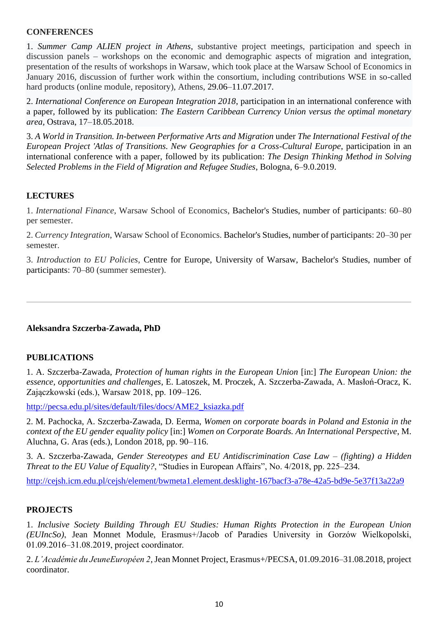#### **CONFERENCES**

1. *Summer Camp ALIEN project in Athens*, substantive project meetings, participation and speech in discussion panels *–* workshops on the economic and demographic aspects of migration and integration, presentation of the results of workshops in Warsaw, which took place at the Warsaw School of Economics in January 2016, discussion of further work within the consortium, including contributions WSE in so-called hard products (online module, repository), Athens, 29.06–11.07.2017.

2. *International Conference on European Integration 2018*, participation in an international conference with a paper, followed by its publication: *The Eastern Caribbean Currency Union versus the optimal monetary area,* Ostrava, 17–18.05.2018.

3. *A World in Transition. In-between Performative Arts and Migration* under *The International Festival of the European Project 'Atlas of Transitions. New Geographies for a Cross-Cultural Europe*, participation in an international conference with a paper, followed by its publication: *The Design Thinking Method in Solving Selected Problems in the Field of Migration and Refugee Studies*, Bologna, 6–9.0.2019.

## **LECTURES**

1. *International Finance*, Warsaw School of Economics, Bachelor's Studies, number of participants: 60–80 per semester.

2. *Currency Integration*, Warsaw School of Economics. Bachelor's Studies, number of participants: 20–30 per semester.

3. *Introduction to EU Policies*, Centre for Europe, University of Warsaw, Bachelor's Studies, number of participants: 70–80 (summer semester).

## **Aleksandra Szczerba-Zawada, PhD**

#### **PUBLICATIONS**

1. A. Szczerba-Zawada, *Protection of human rights in the European Union* [in:] *The European Union: the essence, opportunities and challenges*, E. Latoszek, M. Proczek, A. Szczerba-Zawada, A. Masłoń-Oracz, K. Zajączkowski (eds.), Warsaw 2018, pp. 109–126.

[http://pecsa.edu.pl/sites/default/files/docs/AME2\\_ksiazka.pdf](http://pecsa.edu.pl/sites/default/files/docs/AME2_ksiazka.pdf)

2. M. Pachocka, A. Szczerba-Zawada, D. Eerma, *Women on corporate boards in Poland and Estonia in the context of the EU gender equality policy* [in:] *Women on Corporate Boards. An International Perspective*, M. Aluchna, G. Aras (eds.), London 2018, pp. 90–116.

3. A. Szczerba-Zawada, *Gender Stereotypes and EU Antidiscrimination Case Law* – *(fighting) a Hidden Threat to the EU Value of Equality?*, "Studies in European Affairs", No. 4/2018, pp. 225–234.

<http://cejsh.icm.edu.pl/cejsh/element/bwmeta1.element.desklight-167bacf3-a78e-42a5-bd9e-5e37f13a22a9>

## **PROJECTS**

1. *Inclusive Society Building Through EU Studies: Human Rights Protection in the European Union (EUIncSo)*, Jean Monnet Module, Erasmus+/Jacob of Paradies University in Gorzów Wielkopolski, 01.09.2016–31.08.2019, project coordinator.

2. *L'Académie du JeuneEuropéen 2*, Jean Monnet Project, Erasmus+/PECSA, 01.09.2016–31.08.2018, project coordinator.